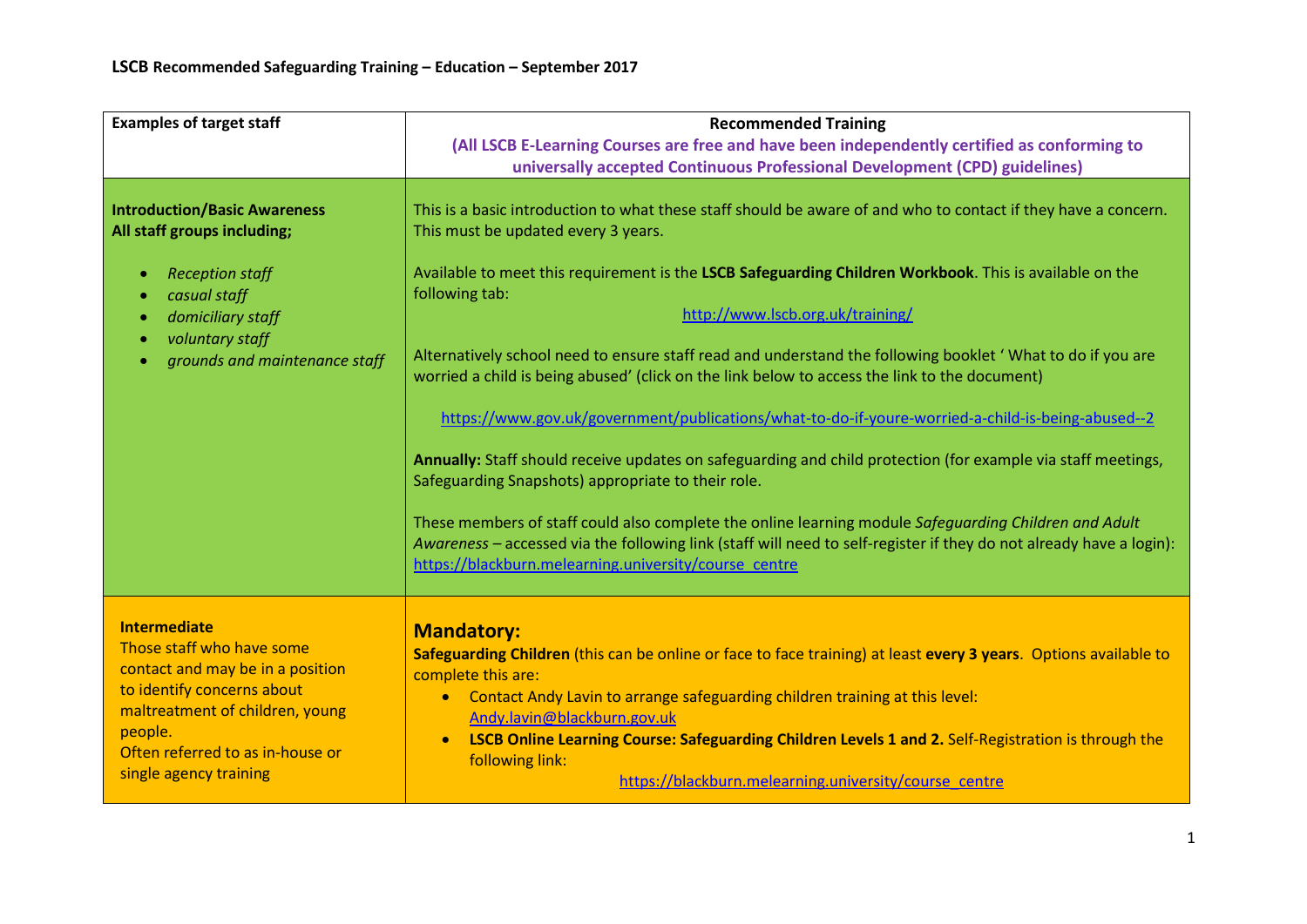| <b>Examples of target staff</b>             | <b>Recommended Training</b>                                                                                                                                                                                                  |
|---------------------------------------------|------------------------------------------------------------------------------------------------------------------------------------------------------------------------------------------------------------------------------|
|                                             | (All LSCB E-Learning Courses are free and have been independently certified as conforming to                                                                                                                                 |
|                                             | universally accepted Continuous Professional Development (CPD) guidelines)                                                                                                                                                   |
|                                             |                                                                                                                                                                                                                              |
| <b>Introduction/Basic Awareness</b>         | This is a basic introduction to what these staff should be aware of and who to contact if they have a concern.                                                                                                               |
| All staff groups including;                 | This must be updated every 3 years.                                                                                                                                                                                          |
|                                             |                                                                                                                                                                                                                              |
| <b>Reception staff</b><br>$\bullet$         | Available to meet this requirement is the LSCB Safeguarding Children Workbook. This is available on the                                                                                                                      |
| casual staff<br>$\bullet$                   | following tab:                                                                                                                                                                                                               |
| domiciliary staff<br>$\bullet$              | http://www.lscb.org.uk/training/                                                                                                                                                                                             |
| voluntary staff<br>$\bullet$                | Alternatively school need to ensure staff read and understand the following booklet ' What to do if you are                                                                                                                  |
| grounds and maintenance staff               | worried a child is being abused' (click on the link below to access the link to the document)                                                                                                                                |
|                                             |                                                                                                                                                                                                                              |
|                                             | https://www.gov.uk/government/publications/what-to-do-if-youre-worried-a-child-is-being-abused--2                                                                                                                            |
|                                             |                                                                                                                                                                                                                              |
|                                             | Annually: Staff should receive updates on safeguarding and child protection (for example via staff meetings,                                                                                                                 |
|                                             | Safeguarding Snapshots) appropriate to their role.                                                                                                                                                                           |
|                                             |                                                                                                                                                                                                                              |
|                                             | These members of staff could also complete the online learning module Safeguarding Children and Adult<br>Awareness - accessed via the following link (staff will need to self-register if they do not already have a login): |
|                                             | https://blackburn.melearning.university/course_centre                                                                                                                                                                        |
|                                             |                                                                                                                                                                                                                              |
|                                             |                                                                                                                                                                                                                              |
| <b>Intermediate</b>                         | <b>Mandatory:</b>                                                                                                                                                                                                            |
| Those staff who have some                   | Safeguarding Children (this can be online or face to face training) at least every 3 years. Options available to                                                                                                             |
| contact and may be in a position            | complete this are:                                                                                                                                                                                                           |
| to identify concerns about                  | Contact Andy Lavin to arrange safeguarding children training at this level:<br>$\bullet$                                                                                                                                     |
| maltreatment of children, young             | Andy.lavin@blackburn.gov.uk                                                                                                                                                                                                  |
| people.<br>Often referred to as in-house or | LSCB Online Learning Course: Safeguarding Children Levels 1 and 2. Self-Registration is through the<br>$\bullet$                                                                                                             |
| single agency training                      | following link:                                                                                                                                                                                                              |
|                                             | https://blackburn.melearning.university/course_centre                                                                                                                                                                        |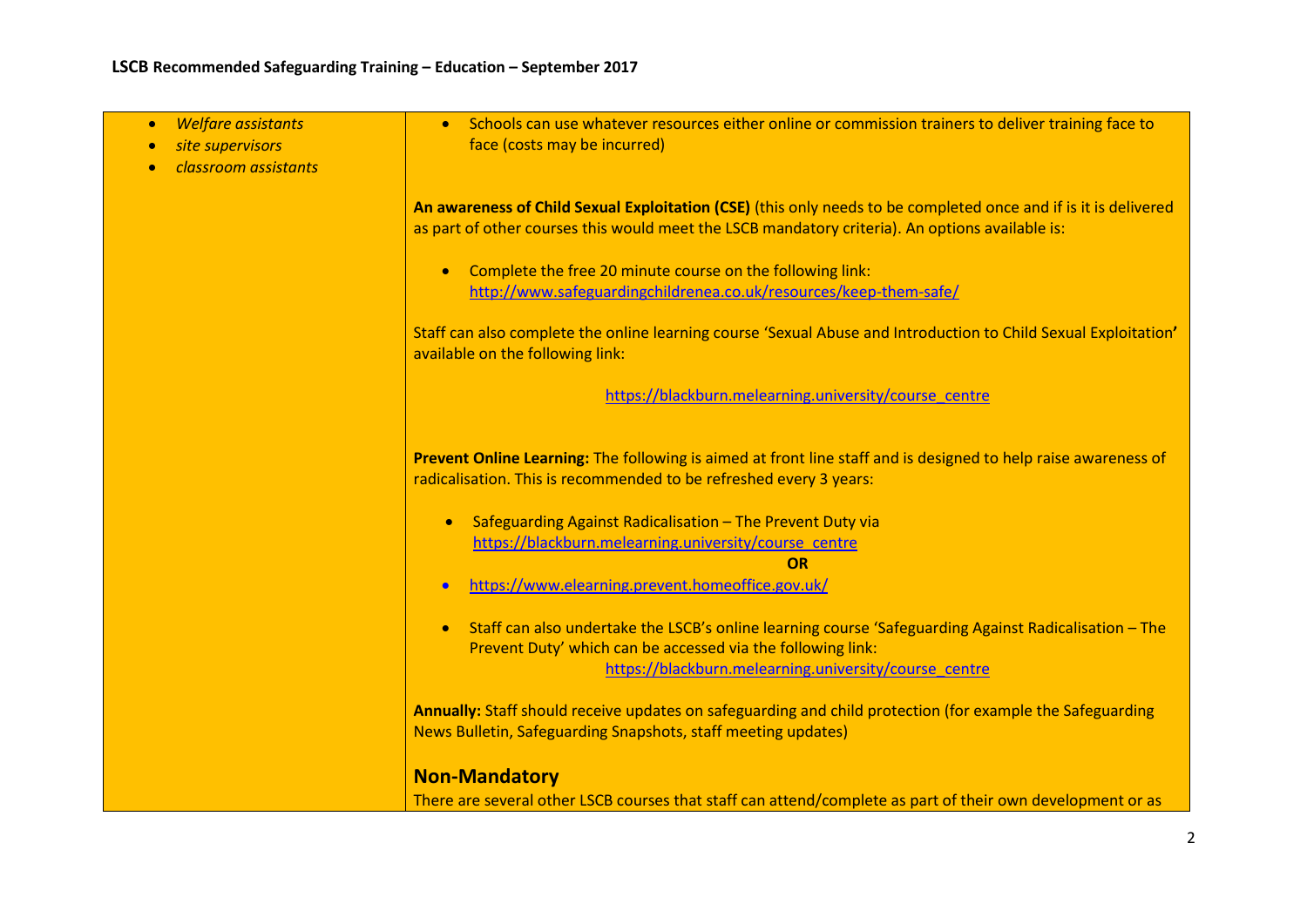| <b>Welfare assistants</b><br>$\bullet$<br>site supervisors<br>classroom assistants | Schools can use whatever resources either online or commission trainers to deliver training face to<br>face (costs may be incurred)                                                                                                                                                                                                                                                             |
|------------------------------------------------------------------------------------|-------------------------------------------------------------------------------------------------------------------------------------------------------------------------------------------------------------------------------------------------------------------------------------------------------------------------------------------------------------------------------------------------|
|                                                                                    | An awareness of Child Sexual Exploitation (CSE) (this only needs to be completed once and if is it is delivered<br>as part of other courses this would meet the LSCB mandatory criteria). An options available is:                                                                                                                                                                              |
|                                                                                    | Complete the free 20 minute course on the following link:<br>$\bullet$<br>http://www.safeguardingchildrenea.co.uk/resources/keep-them-safe/                                                                                                                                                                                                                                                     |
|                                                                                    | Staff can also complete the online learning course 'Sexual Abuse and Introduction to Child Sexual Exploitation'<br>available on the following link:                                                                                                                                                                                                                                             |
|                                                                                    | https://blackburn.melearning.university/course_centre                                                                                                                                                                                                                                                                                                                                           |
|                                                                                    | Prevent Online Learning: The following is aimed at front line staff and is designed to help raise awareness of<br>radicalisation. This is recommended to be refreshed every 3 years:<br>Safeguarding Against Radicalisation - The Prevent Duty via<br>$\bullet$<br>https://blackburn.melearning.university/course_centre<br>OR<br>https://www.elearning.prevent.homeoffice.gov.uk/<br>$\bullet$ |
|                                                                                    | Staff can also undertake the LSCB's online learning course 'Safeguarding Against Radicalisation - The<br>$\bullet$<br>Prevent Duty' which can be accessed via the following link:<br>https://blackburn.melearning.university/course_centre                                                                                                                                                      |
|                                                                                    | Annually: Staff should receive updates on safeguarding and child protection (for example the Safeguarding<br>News Bulletin, Safeguarding Snapshots, staff meeting updates)                                                                                                                                                                                                                      |
|                                                                                    | <b>Non-Mandatory</b><br>There are several other LSCB courses that staff can attend/complete as part of their own development or as                                                                                                                                                                                                                                                              |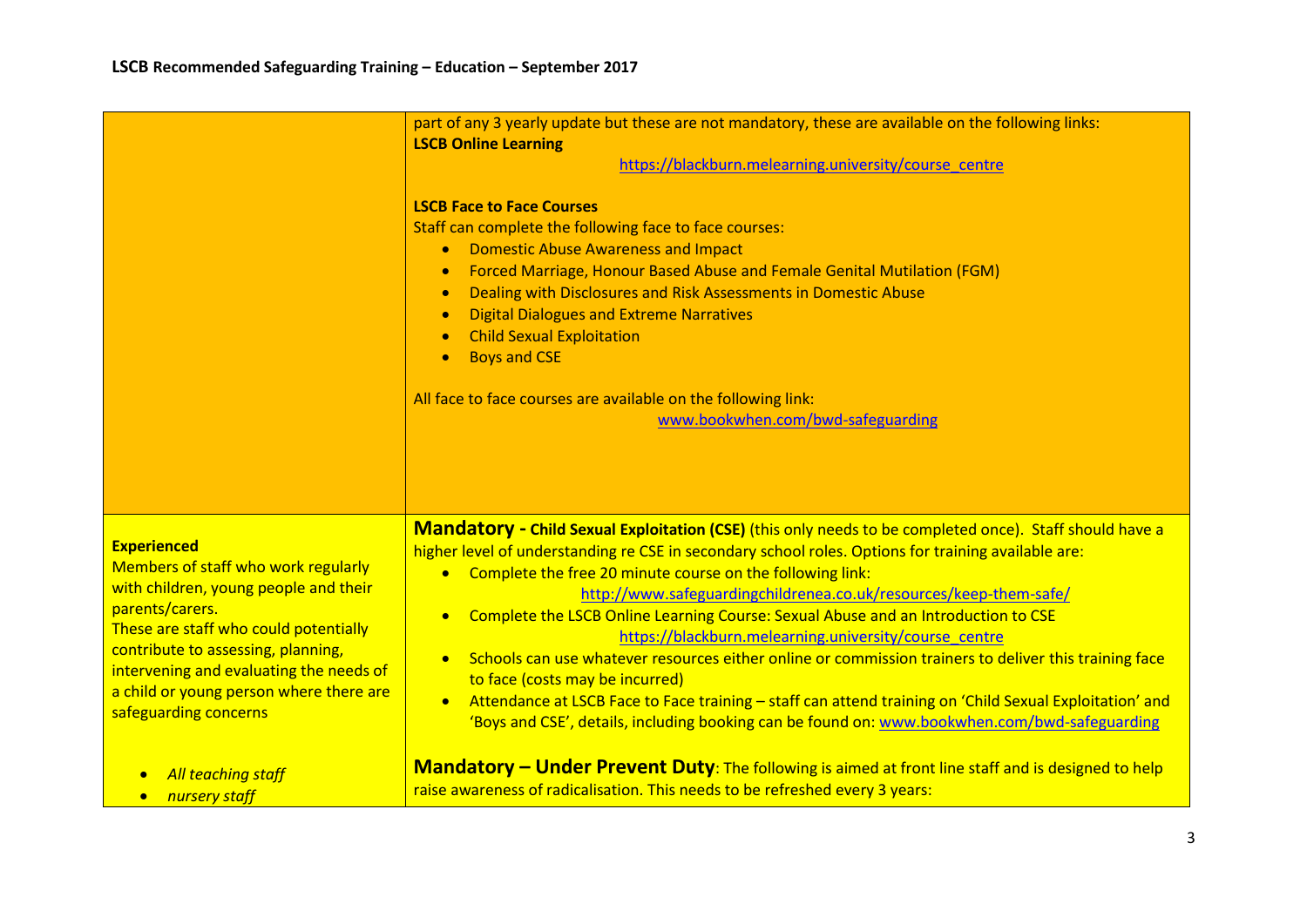|                                                                                                                                                                                                                                                                                                                                                            | part of any 3 yearly update but these are not mandatory, these are available on the following links:<br><b>LSCB Online Learning</b><br>https://blackburn.melearning.university/course_centre<br><b>LSCB Face to Face Courses</b><br>Staff can complete the following face to face courses:<br><b>Domestic Abuse Awareness and Impact</b><br>$\bullet$<br>Forced Marriage, Honour Based Abuse and Female Genital Mutilation (FGM)<br>$\bullet$<br>Dealing with Disclosures and Risk Assessments in Domestic Abuse<br>$\bullet$<br><b>Digital Dialogues and Extreme Narratives</b><br>$\bullet$<br><b>Child Sexual Exploitation</b><br>$\bullet$<br><b>Boys and CSE</b><br>$\bullet$<br>All face to face courses are available on the following link:<br>www.bookwhen.com/bwd-safeguarding                                                                                                                                                                                                                                                                                                         |
|------------------------------------------------------------------------------------------------------------------------------------------------------------------------------------------------------------------------------------------------------------------------------------------------------------------------------------------------------------|--------------------------------------------------------------------------------------------------------------------------------------------------------------------------------------------------------------------------------------------------------------------------------------------------------------------------------------------------------------------------------------------------------------------------------------------------------------------------------------------------------------------------------------------------------------------------------------------------------------------------------------------------------------------------------------------------------------------------------------------------------------------------------------------------------------------------------------------------------------------------------------------------------------------------------------------------------------------------------------------------------------------------------------------------------------------------------------------------|
| <b>Experienced</b><br>Members of staff who work regularly<br>with children, young people and their<br>parents/carers.<br>These are staff who could potentially<br>contribute to assessing, planning,<br>intervening and evaluating the needs of<br>a child or young person where there are<br>safeguarding concerns<br>All teaching staff<br>nursery staff | Mandatory - Child Sexual Exploitation (CSE) (this only needs to be completed once). Staff should have a<br>higher level of understanding re CSE in secondary school roles. Options for training available are:<br>Complete the free 20 minute course on the following link:<br>$\bullet$<br>http://www.safeguardingchildrenea.co.uk/resources/keep-them-safe/<br>Complete the LSCB Online Learning Course: Sexual Abuse and an Introduction to CSE<br>$\bullet$<br>https://blackburn.melearning.university/course_centre<br>Schools can use whatever resources either online or commission trainers to deliver this training face<br>$\bullet$<br>to face (costs may be incurred)<br>Attendance at LSCB Face to Face training - staff can attend training on 'Child Sexual Exploitation' and<br>$\bullet$<br>'Boys and CSE', details, including booking can be found on: www.bookwhen.com/bwd-safeguarding<br>Mandatory – Under Prevent Duty: The following is aimed at front line staff and is designed to help<br>raise awareness of radicalisation. This needs to be refreshed every 3 years: |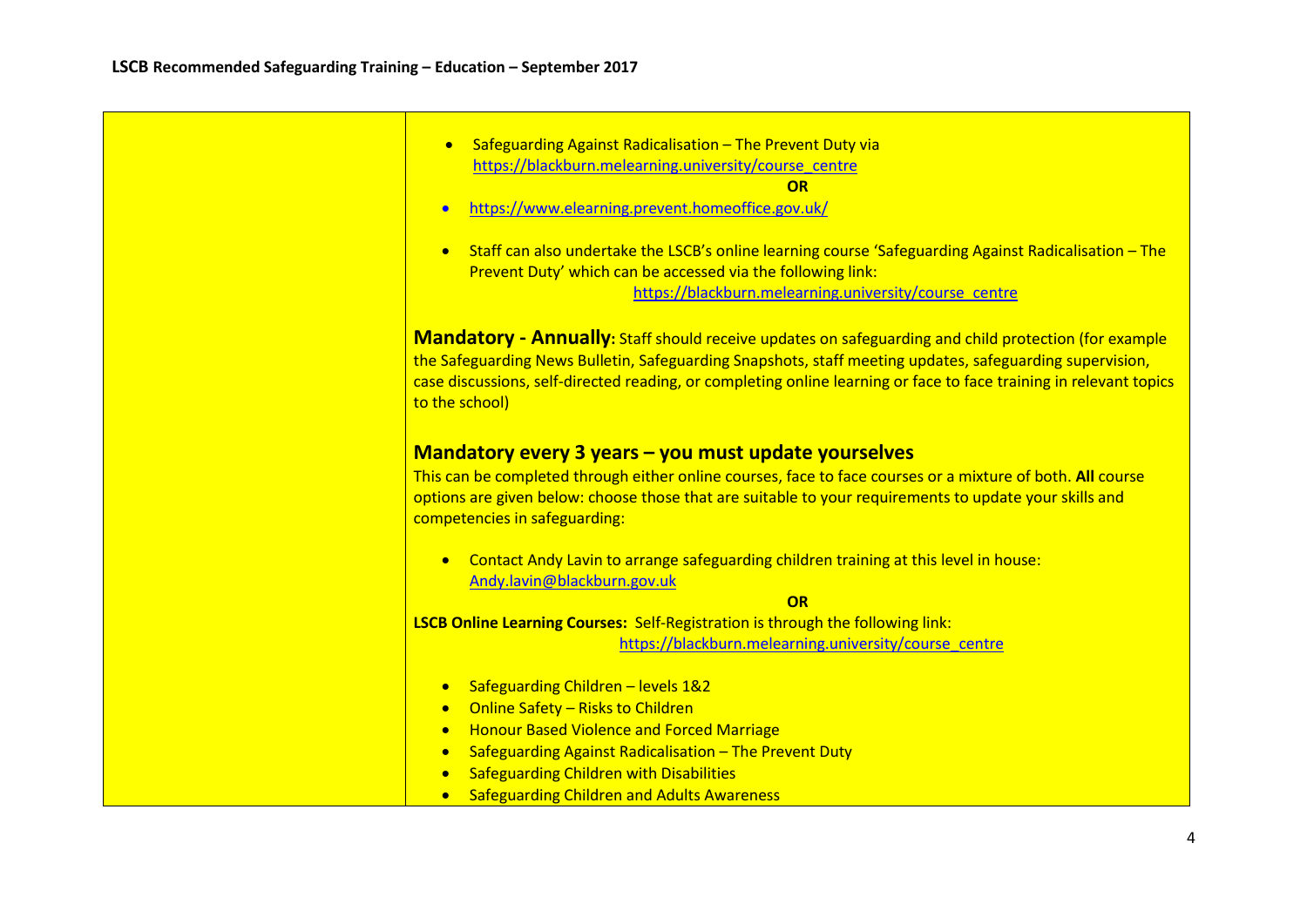| Safeguarding Against Radicalisation - The Prevent Duty via<br>$\bullet$                                                                                                                                                                                                                                                                                         |
|-----------------------------------------------------------------------------------------------------------------------------------------------------------------------------------------------------------------------------------------------------------------------------------------------------------------------------------------------------------------|
| https://blackburn.melearning.university/course_centre                                                                                                                                                                                                                                                                                                           |
| OR                                                                                                                                                                                                                                                                                                                                                              |
| https://www.elearning.prevent.homeoffice.gov.uk/<br>$\bullet$                                                                                                                                                                                                                                                                                                   |
|                                                                                                                                                                                                                                                                                                                                                                 |
| Staff can also undertake the LSCB's online learning course 'Safeguarding Against Radicalisation - The<br>$\bullet$                                                                                                                                                                                                                                              |
| Prevent Duty' which can be accessed via the following link:                                                                                                                                                                                                                                                                                                     |
| https://blackburn.melearning.university/course_centre                                                                                                                                                                                                                                                                                                           |
|                                                                                                                                                                                                                                                                                                                                                                 |
| <b>Mandatory - Annually:</b> Staff should receive updates on safeguarding and child protection (for example<br>the Safeguarding News Bulletin, Safeguarding Snapshots, staff meeting updates, safeguarding supervision,<br>case discussions, self-directed reading, or completing online learning or face to face training in relevant topics<br>to the school) |
| Mandatory every 3 years - you must update yourselves<br>This can be completed through either online courses, face to face courses or a mixture of both. All course<br>options are given below: choose those that are suitable to your requirements to update your skills and<br>competencies in safeguarding:                                                   |
| Contact Andy Lavin to arrange safeguarding children training at this level in house:<br>$\bullet$<br>Andy.lavin@blackburn.gov.uk                                                                                                                                                                                                                                |
| OR                                                                                                                                                                                                                                                                                                                                                              |
| <b>LSCB Online Learning Courses:</b> Self-Registration is through the following link:                                                                                                                                                                                                                                                                           |
| https://blackburn.melearning.university/course_centre                                                                                                                                                                                                                                                                                                           |
|                                                                                                                                                                                                                                                                                                                                                                 |
| Safeguarding Children - levels 1&2<br>$\bullet$                                                                                                                                                                                                                                                                                                                 |
| Online Safety - Risks to Children<br>$\bullet$                                                                                                                                                                                                                                                                                                                  |
| <b>Honour Based Violence and Forced Marriage</b><br>$\bullet$                                                                                                                                                                                                                                                                                                   |
| Safeguarding Against Radicalisation - The Prevent Duty<br>$\bullet$                                                                                                                                                                                                                                                                                             |
| <b>Safeguarding Children with Disabilities</b>                                                                                                                                                                                                                                                                                                                  |
| <b>Safeguarding Children and Adults Awareness</b><br>$\bullet$                                                                                                                                                                                                                                                                                                  |
|                                                                                                                                                                                                                                                                                                                                                                 |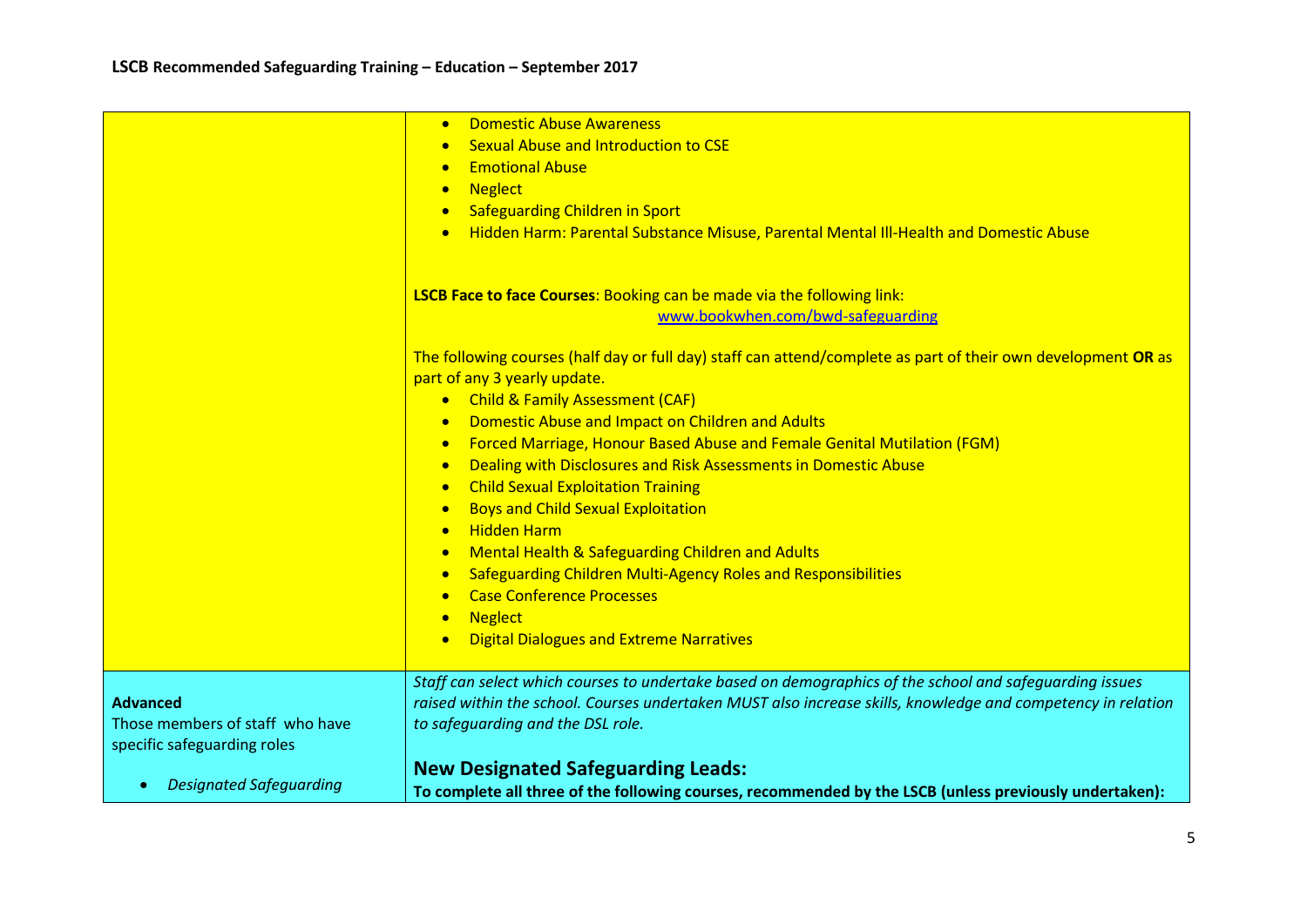|                                                                                   | <b>Domestic Abuse Awareness</b><br>$\bullet$<br><b>Sexual Abuse and Introduction to CSE</b><br><b>Emotional Abuse</b><br>$\bullet$<br><b>Neglect</b><br>$\bullet$<br>Safeguarding Children in Sport<br>Hidden Harm: Parental Substance Misuse, Parental Mental III-Health and Domestic Abuse<br>$\bullet$                                                                                                                                                                                                                                                                                                                                                                                                                                                                                                                                                            |
|-----------------------------------------------------------------------------------|----------------------------------------------------------------------------------------------------------------------------------------------------------------------------------------------------------------------------------------------------------------------------------------------------------------------------------------------------------------------------------------------------------------------------------------------------------------------------------------------------------------------------------------------------------------------------------------------------------------------------------------------------------------------------------------------------------------------------------------------------------------------------------------------------------------------------------------------------------------------|
|                                                                                   | LSCB Face to face Courses: Booking can be made via the following link:<br>www.bookwhen.com/bwd-safeguarding                                                                                                                                                                                                                                                                                                                                                                                                                                                                                                                                                                                                                                                                                                                                                          |
|                                                                                   | The following courses (half day or full day) staff can attend/complete as part of their own development OR as<br>part of any 3 yearly update.<br>• Child & Family Assessment (CAF)<br>Domestic Abuse and Impact on Children and Adults<br>$\bullet$<br>Forced Marriage, Honour Based Abuse and Female Genital Mutilation (FGM)<br>$\bullet$<br>Dealing with Disclosures and Risk Assessments in Domestic Abuse<br>$\bullet$<br><b>Child Sexual Exploitation Training</b><br>$\bullet$<br><b>Boys and Child Sexual Exploitation</b><br>$\bullet$<br><b>Hidden Harm</b><br>$\bullet$<br>Mental Health & Safeguarding Children and Adults<br>$\bullet$<br>Safeguarding Children Multi-Agency Roles and Responsibilities<br>$\bullet$<br><b>Case Conference Processes</b><br>$\bullet$<br><b>Neglect</b><br>$\bullet$<br><b>Digital Dialogues and Extreme Narratives</b> |
| <b>Advanced</b><br>Those members of staff who have<br>specific safeguarding roles | Staff can select which courses to undertake based on demographics of the school and safequarding issues<br>raised within the school. Courses undertaken MUST also increase skills, knowledge and competency in relation<br>to safeguarding and the DSL role.                                                                                                                                                                                                                                                                                                                                                                                                                                                                                                                                                                                                         |
| <b>Designated Safeguarding</b><br>$\bullet$                                       | <b>New Designated Safeguarding Leads:</b><br>To complete all three of the following courses, recommended by the LSCB (unless previously undertaken):                                                                                                                                                                                                                                                                                                                                                                                                                                                                                                                                                                                                                                                                                                                 |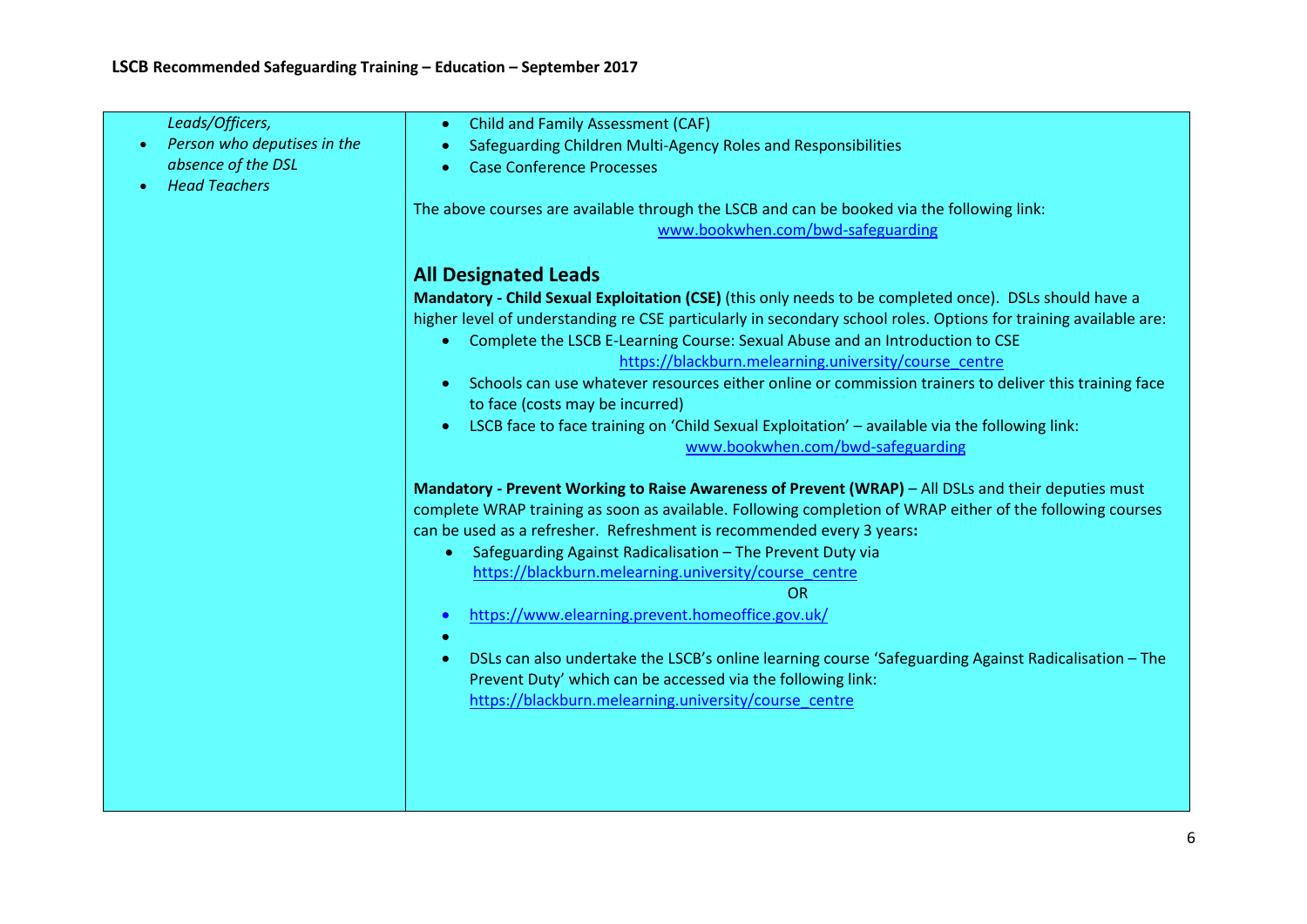| Leads/Officers,             | <b>Child and Family Assessment (CAF)</b><br>$\bullet$                                                             |
|-----------------------------|-------------------------------------------------------------------------------------------------------------------|
| Person who deputises in the | Safeguarding Children Multi-Agency Roles and Responsibilities                                                     |
| absence of the DSL          | <b>Case Conference Processes</b>                                                                                  |
| <b>Head Teachers</b>        |                                                                                                                   |
|                             | The above courses are available through the LSCB and can be booked via the following link:                        |
|                             | www.bookwhen.com/bwd-safeguarding                                                                                 |
|                             |                                                                                                                   |
|                             | <b>All Designated Leads</b>                                                                                       |
|                             | Mandatory - Child Sexual Exploitation (CSE) (this only needs to be completed once). DSLs should have a            |
|                             |                                                                                                                   |
|                             | higher level of understanding re CSE particularly in secondary school roles. Options for training available are:  |
|                             | Complete the LSCB E-Learning Course: Sexual Abuse and an Introduction to CSE                                      |
|                             | https://blackburn.melearning.university/course_centre                                                             |
|                             | Schools can use whatever resources either online or commission trainers to deliver this training face             |
|                             | to face (costs may be incurred)                                                                                   |
|                             | LSCB face to face training on 'Child Sexual Exploitation' - available via the following link:<br>$\bullet$        |
|                             | www.bookwhen.com/bwd-safeguarding                                                                                 |
|                             |                                                                                                                   |
|                             | Mandatory - Prevent Working to Raise Awareness of Prevent (WRAP) - All DSLs and their deputies must               |
|                             | complete WRAP training as soon as available. Following completion of WRAP either of the following courses         |
|                             | can be used as a refresher. Refreshment is recommended every 3 years:                                             |
|                             | Safeguarding Against Radicalisation - The Prevent Duty via                                                        |
|                             | $\bullet$                                                                                                         |
|                             | https://blackburn.melearning.university/course_centre                                                             |
|                             | <b>OR</b>                                                                                                         |
|                             | https://www.elearning.prevent.homeoffice.gov.uk/<br>$\bullet$                                                     |
|                             |                                                                                                                   |
|                             | DSLs can also undertake the LSCB's online learning course 'Safeguarding Against Radicalisation - The<br>$\bullet$ |
|                             | Prevent Duty' which can be accessed via the following link:                                                       |
|                             | https://blackburn.melearning.university/course centre                                                             |
|                             |                                                                                                                   |
|                             |                                                                                                                   |
|                             |                                                                                                                   |
|                             |                                                                                                                   |
|                             |                                                                                                                   |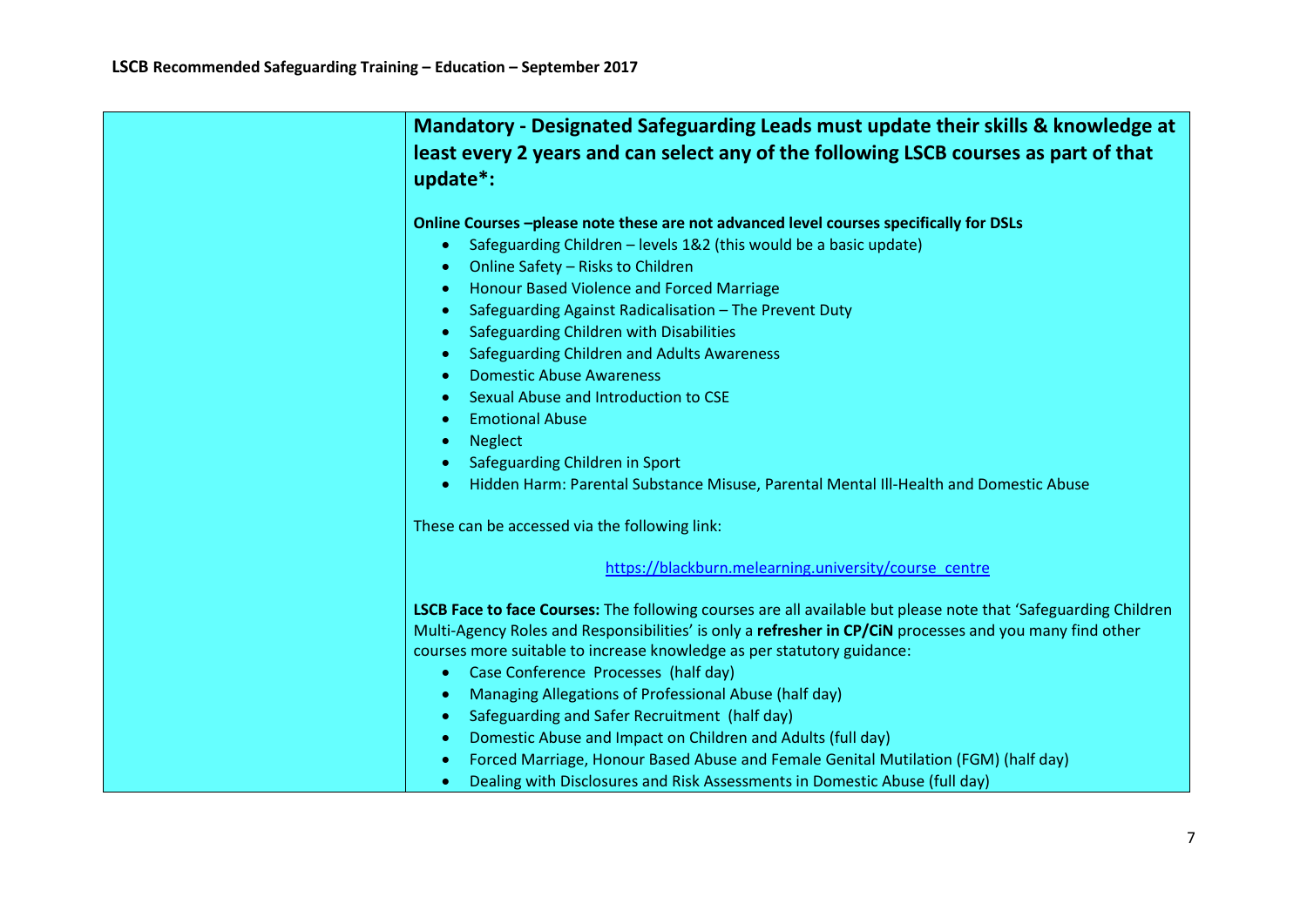| Mandatory - Designated Safeguarding Leads must update their skills & knowledge at<br>least every 2 years and can select any of the following LSCB courses as part of that<br>update*:                                                                                                                                                                                                                                                                                                                                                                                                                                                                                                                                                                             |
|-------------------------------------------------------------------------------------------------------------------------------------------------------------------------------------------------------------------------------------------------------------------------------------------------------------------------------------------------------------------------------------------------------------------------------------------------------------------------------------------------------------------------------------------------------------------------------------------------------------------------------------------------------------------------------------------------------------------------------------------------------------------|
| Online Courses -please note these are not advanced level courses specifically for DSLs<br>Safeguarding Children - levels 1&2 (this would be a basic update)<br>$\bullet$<br>Online Safety - Risks to Children<br>٠<br>Honour Based Violence and Forced Marriage<br>٠<br>Safeguarding Against Radicalisation - The Prevent Duty<br>$\bullet$<br>Safeguarding Children with Disabilities<br>٠<br>Safeguarding Children and Adults Awareness<br>$\bullet$<br><b>Domestic Abuse Awareness</b><br>$\bullet$<br>Sexual Abuse and Introduction to CSE<br>$\bullet$<br><b>Emotional Abuse</b><br>$\bullet$<br><b>Neglect</b><br>٠<br>Safeguarding Children in Sport<br>$\bullet$<br>Hidden Harm: Parental Substance Misuse, Parental Mental III-Health and Domestic Abuse |
| These can be accessed via the following link:                                                                                                                                                                                                                                                                                                                                                                                                                                                                                                                                                                                                                                                                                                                     |
| https://blackburn.melearning.university/course_centre                                                                                                                                                                                                                                                                                                                                                                                                                                                                                                                                                                                                                                                                                                             |
| LSCB Face to face Courses: The following courses are all available but please note that 'Safeguarding Children<br>Multi-Agency Roles and Responsibilities' is only a refresher in CP/CIN processes and you many find other<br>courses more suitable to increase knowledge as per statutory guidance:<br>Case Conference Processes (half day)<br>$\bullet$<br>Managing Allegations of Professional Abuse (half day)<br>$\bullet$<br>Safeguarding and Safer Recruitment (half day)<br>٠<br>Domestic Abuse and Impact on Children and Adults (full day)<br>$\bullet$<br>Forced Marriage, Honour Based Abuse and Female Genital Mutilation (FGM) (half day)<br>٠<br>Dealing with Disclosures and Risk Assessments in Domestic Abuse (full day)<br>$\bullet$           |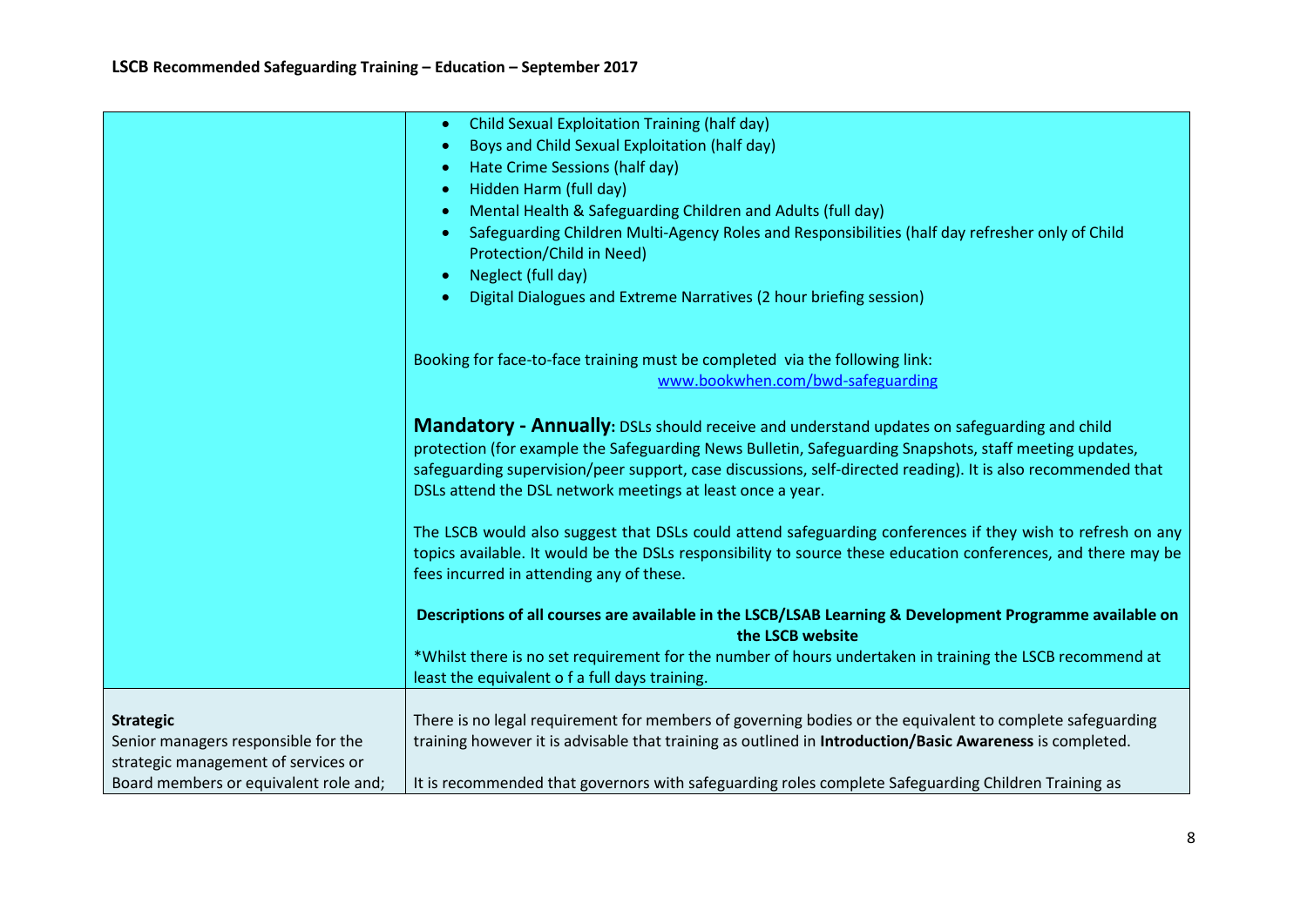|                                       | Child Sexual Exploitation Training (half day)<br>$\bullet$                                                                                |
|---------------------------------------|-------------------------------------------------------------------------------------------------------------------------------------------|
|                                       | Boys and Child Sexual Exploitation (half day)<br>$\bullet$                                                                                |
|                                       | Hate Crime Sessions (half day)<br>$\bullet$                                                                                               |
|                                       | Hidden Harm (full day)<br>$\bullet$                                                                                                       |
|                                       | Mental Health & Safeguarding Children and Adults (full day)<br>$\bullet$                                                                  |
|                                       | Safeguarding Children Multi-Agency Roles and Responsibilities (half day refresher only of Child<br>$\bullet$<br>Protection/Child in Need) |
|                                       | Neglect (full day)<br>$\bullet$                                                                                                           |
|                                       | Digital Dialogues and Extreme Narratives (2 hour briefing session)<br>$\bullet$                                                           |
|                                       | Booking for face-to-face training must be completed via the following link:                                                               |
|                                       | www.bookwhen.com/bwd-safeguarding                                                                                                         |
|                                       |                                                                                                                                           |
|                                       | <b>Mandatory - Annually:</b> DSLs should receive and understand updates on safeguarding and child                                         |
|                                       | protection (for example the Safeguarding News Bulletin, Safeguarding Snapshots, staff meeting updates,                                    |
|                                       | safeguarding supervision/peer support, case discussions, self-directed reading). It is also recommended that                              |
|                                       | DSLs attend the DSL network meetings at least once a year.                                                                                |
|                                       | The LSCB would also suggest that DSLs could attend safeguarding conferences if they wish to refresh on any                                |
|                                       | topics available. It would be the DSLs responsibility to source these education conferences, and there may be                             |
|                                       | fees incurred in attending any of these.                                                                                                  |
|                                       |                                                                                                                                           |
|                                       | Descriptions of all courses are available in the LSCB/LSAB Learning & Development Programme available on<br>the LSCB website              |
|                                       | *Whilst there is no set requirement for the number of hours undertaken in training the LSCB recommend at                                  |
|                                       | least the equivalent o f a full days training.                                                                                            |
|                                       |                                                                                                                                           |
| <b>Strategic</b>                      | There is no legal requirement for members of governing bodies or the equivalent to complete safeguarding                                  |
| Senior managers responsible for the   | training however it is advisable that training as outlined in Introduction/Basic Awareness is completed.                                  |
| strategic management of services or   |                                                                                                                                           |
| Board members or equivalent role and; | It is recommended that governors with safeguarding roles complete Safeguarding Children Training as                                       |